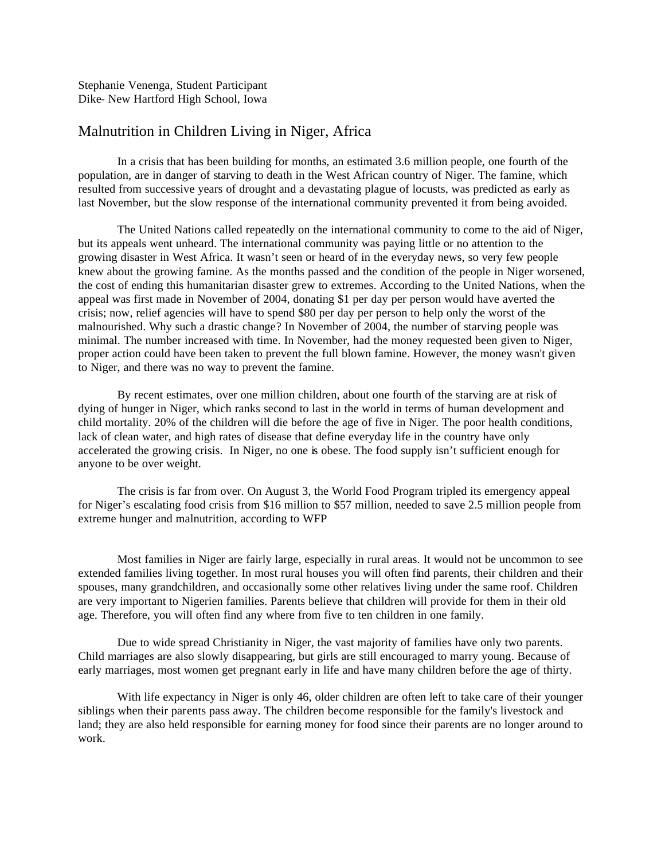Stephanie Venenga, Student Participant Dike- New Hartford High School, Iowa

# Malnutrition in Children Living in Niger, Africa

In a crisis that has been building for months, an estimated 3.6 million people, one fourth of the population, are in danger of starving to death in the West African country of Niger. The famine, which resulted from successive years of drought and a devastating plague of locusts, was predicted as early as last November, but the slow response of the international community prevented it from being avoided.

The United Nations called repeatedly on the international community to come to the aid of Niger, but its appeals went unheard. The international community was paying little or no attention to the growing disaster in West Africa. It wasn't seen or heard of in the everyday news, so very few people knew about the growing famine. As the months passed and the condition of the people in Niger worsened, the cost of ending this humanitarian disaster grew to extremes. According to the United Nations, when the appeal was first made in November of 2004, donating \$1 per day per person would have averted the crisis; now, relief agencies will have to spend \$80 per day per person to help only the worst of the malnourished. Why such a drastic change? In November of 2004, the number of starving people was minimal. The number increased with time. In November, had the money requested been given to Niger, proper action could have been taken to prevent the full blown famine. However, the money wasn't given to Niger, and there was no way to prevent the famine.

By recent estimates, over one million children, about one fourth of the starving are at risk of dying of hunger in Niger, which ranks second to last in the world in terms of human development and child mortality. 20% of the children will die before the age of five in Niger. The poor health conditions, lack of clean water, and high rates of disease that define everyday life in the country have only accelerated the growing crisis. In Niger, no one is obese. The food supply isn't sufficient enough for anyone to be over weight.

The crisis is far from over. On August 3, the World Food Program tripled its emergency appeal for Niger's escalating food crisis from \$16 million to \$57 million, needed to save 2.5 million people from extreme hunger and malnutrition, according to WFP

Most families in Niger are fairly large, especially in rural areas. It would not be uncommon to see extended families living together. In most rural houses you will often find parents, their children and their spouses, many grandchildren, and occasionally some other relatives living under the same roof. Children are very important to Nigerien families. Parents believe that children will provide for them in their old age. Therefore, you will often find any where from five to ten children in one family.

Due to wide spread Christianity in Niger, the vast majority of families have only two parents. Child marriages are also slowly disappearing, but girls are still encouraged to marry young. Because of early marriages, most women get pregnant early in life and have many children before the age of thirty.

With life expectancy in Niger is only 46, older children are often left to take care of their younger siblings when their parents pass away. The children become responsible for the family's livestock and land; they are also held responsible for earning money for food since their parents are no longer around to work.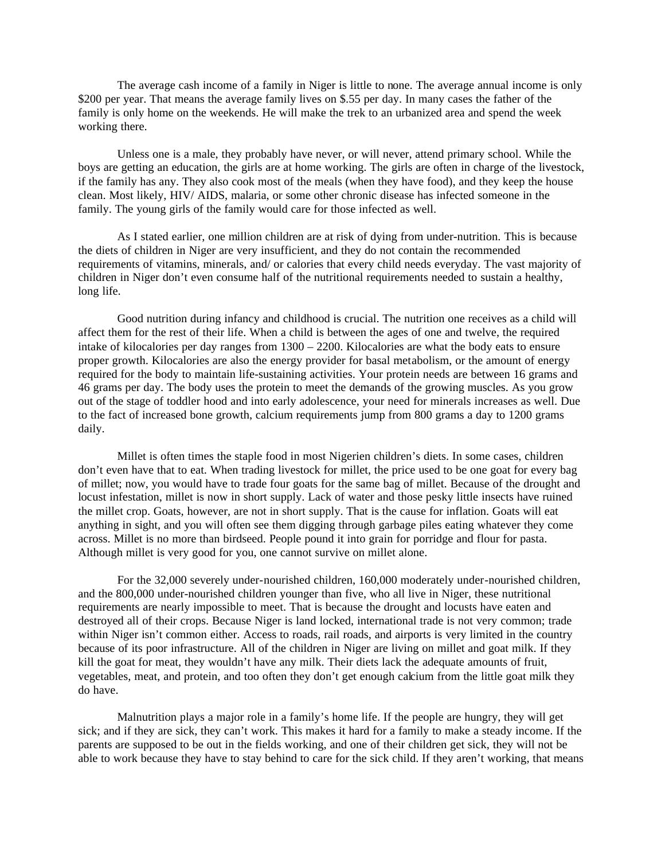The average cash income of a family in Niger is little to none. The average annual income is only \$200 per year. That means the average family lives on \$.55 per day. In many cases the father of the family is only home on the weekends. He will make the trek to an urbanized area and spend the week working there.

Unless one is a male, they probably have never, or will never, attend primary school. While the boys are getting an education, the girls are at home working. The girls are often in charge of the livestock, if the family has any. They also cook most of the meals (when they have food), and they keep the house clean. Most likely, HIV/ AIDS, malaria, or some other chronic disease has infected someone in the family. The young girls of the family would care for those infected as well.

As I stated earlier, one million children are at risk of dying from under-nutrition. This is because the diets of children in Niger are very insufficient, and they do not contain the recommended requirements of vitamins, minerals, and/ or calories that every child needs everyday. The vast majority of children in Niger don't even consume half of the nutritional requirements needed to sustain a healthy, long life.

Good nutrition during infancy and childhood is crucial. The nutrition one receives as a child will affect them for the rest of their life. When a child is between the ages of one and twelve, the required intake of kilocalories per day ranges from 1300 – 2200. Kilocalories are what the body eats to ensure proper growth. Kilocalories are also the energy provider for basal metabolism, or the amount of energy required for the body to maintain life-sustaining activities. Your protein needs are between 16 grams and 46 grams per day. The body uses the protein to meet the demands of the growing muscles. As you grow out of the stage of toddler hood and into early adolescence, your need for minerals increases as well. Due to the fact of increased bone growth, calcium requirements jump from 800 grams a day to 1200 grams daily.

Millet is often times the staple food in most Nigerien children's diets. In some cases, children don't even have that to eat. When trading livestock for millet, the price used to be one goat for every bag of millet; now, you would have to trade four goats for the same bag of millet. Because of the drought and locust infestation, millet is now in short supply. Lack of water and those pesky little insects have ruined the millet crop. Goats, however, are not in short supply. That is the cause for inflation. Goats will eat anything in sight, and you will often see them digging through garbage piles eating whatever they come across. Millet is no more than birdseed. People pound it into grain for porridge and flour for pasta. Although millet is very good for you, one cannot survive on millet alone.

For the 32,000 severely under-nourished children, 160,000 moderately under-nourished children, and the 800,000 under-nourished children younger than five, who all live in Niger, these nutritional requirements are nearly impossible to meet. That is because the drought and locusts have eaten and destroyed all of their crops. Because Niger is land locked, international trade is not very common; trade within Niger isn't common either. Access to roads, rail roads, and airports is very limited in the country because of its poor infrastructure. All of the children in Niger are living on millet and goat milk. If they kill the goat for meat, they wouldn't have any milk. Their diets lack the adequate amounts of fruit, vegetables, meat, and protein, and too often they don't get enough calcium from the little goat milk they do have.

Malnutrition plays a major role in a family's home life. If the people are hungry, they will get sick; and if they are sick, they can't work. This makes it hard for a family to make a steady income. If the parents are supposed to be out in the fields working, and one of their children get sick, they will not be able to work because they have to stay behind to care for the sick child. If they aren't working, that means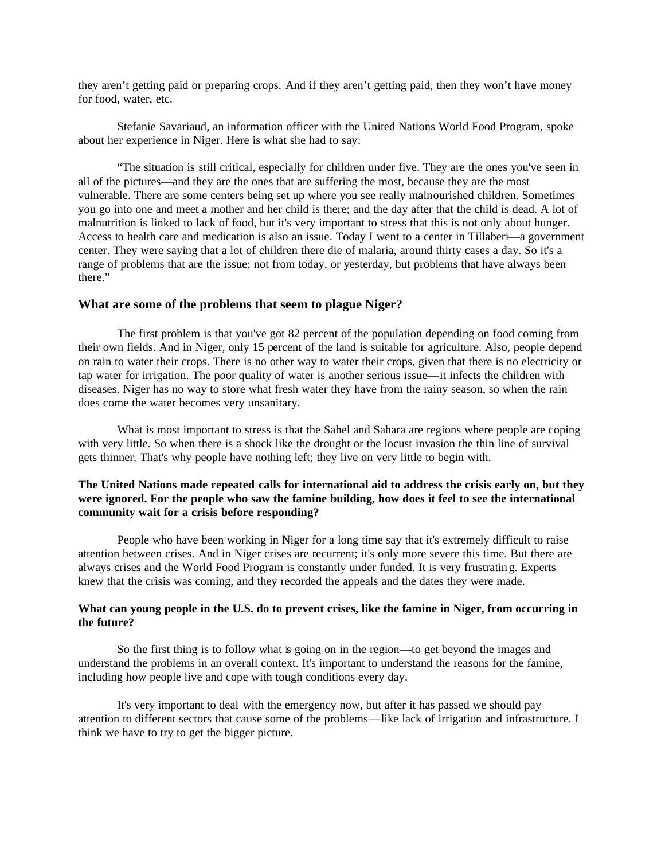they aren't getting paid or preparing crops. And if they aren't getting paid, then they won't have money for food, water, etc.

Stefanie Savariaud, an information officer with the United Nations World Food Program, spoke about her experience in Niger. Here is what she had to say:

"The situation is still critical, especially for children under five. They are the ones you've seen in all of the pictures—and they are the ones that are suffering the most, because they are the most vulnerable. There are some centers being set up where you see really malnourished children. Sometimes you go into one and meet a mother and her child is there; and the day after that the child is dead. A lot of malnutrition is linked to lack of food, but it's very important to stress that this is not only about hunger. Access to health care and medication is also an issue. Today I went to a center in Tillaberi—a government center. They were saying that a lot of children there die of malaria, around thirty cases a day. So it's a range of problems that are the issue; not from today, or yesterday, but problems that have always been there."

#### **What are some of the problems that seem to plague Niger?**

The first problem is that you've got 82 percent of the population depending on food coming from their own fields. And in Niger, only 15 percent of the land is suitable for agriculture. Also, people depend on rain to water their crops. There is no other way to water their crops, given that there is no electricity or tap water for irrigation. The poor quality of water is another serious issue—it infects the children with diseases. Niger has no way to store what fresh water they have from the rainy season, so when the rain does come the water becomes very unsanitary.

What is most important to stress is that the Sahel and Sahara are regions where people are coping with very little. So when there is a shock like the drought or the locust invasion the thin line of survival gets thinner. That's why people have nothing left; they live on very little to begin with.

# **The United Nations made repeated calls for international aid to address the crisis early on, but they were ignored. For the people who saw the famine building, how does it feel to see the international community wait for a crisis before responding?**

People who have been working in Niger for a long time say that it's extremely difficult to raise attention between crises. And in Niger crises are recurrent; it's only more severe this time. But there are always crises and the World Food Program is constantly under funded. It is very frustrating. Experts knew that the crisis was coming, and they recorded the appeals and the dates they were made.

## **What can young people in the U.S. do to prevent crises, like the famine in Niger, from occurring in the future?**

So the first thing is to follow what is going on in the region—to get beyond the images and understand the problems in an overall context. It's important to understand the reasons for the famine, including how people live and cope with tough conditions every day.

It's very important to deal with the emergency now, but after it has passed we should pay attention to different sectors that cause some of the problems—like lack of irrigation and infrastructure. I think we have to try to get the bigger picture.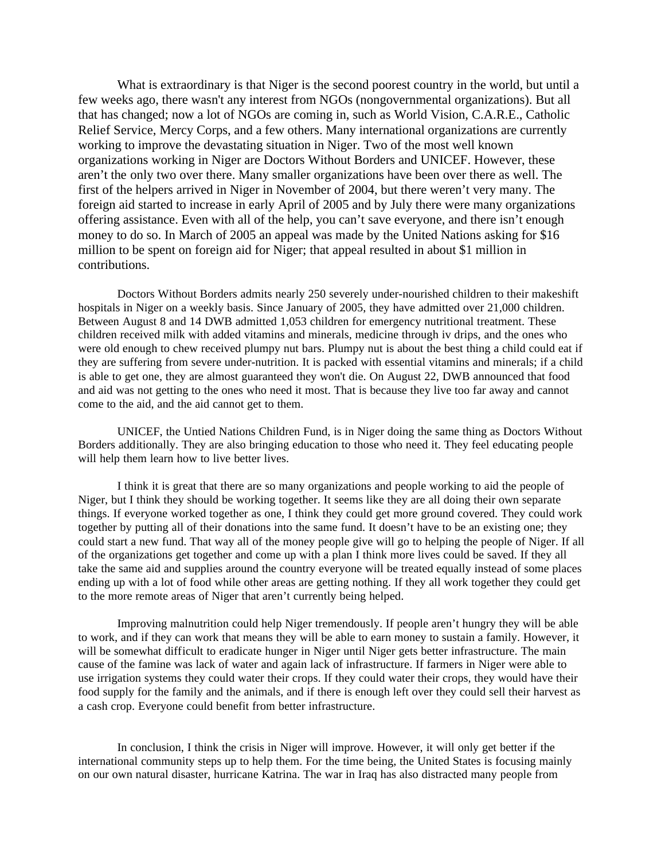What is extraordinary is that Niger is the second poorest country in the world, but until a few weeks ago, there wasn't any interest from NGOs (nongovernmental organizations). But all that has changed; now a lot of NGOs are coming in, such as World Vision, C.A.R.E., Catholic Relief Service, Mercy Corps, and a few others. Many international organizations are currently working to improve the devastating situation in Niger. Two of the most well known organizations working in Niger are Doctors Without Borders and UNICEF. However, these aren't the only two over there. Many smaller organizations have been over there as well. The first of the helpers arrived in Niger in November of 2004, but there weren't very many. The foreign aid started to increase in early April of 2005 and by July there were many organizations offering assistance. Even with all of the help, you can't save everyone, and there isn't enough money to do so. In March of 2005 an appeal was made by the United Nations asking for \$16 million to be spent on foreign aid for Niger; that appeal resulted in about \$1 million in contributions.

Doctors Without Borders admits nearly 250 severely under-nourished children to their makeshift hospitals in Niger on a weekly basis. Since January of 2005, they have admitted over 21,000 children. Between August 8 and 14 DWB admitted 1,053 children for emergency nutritional treatment. These children received milk with added vitamins and minerals, medicine through iv drips, and the ones who were old enough to chew received plumpy nut bars. Plumpy nut is about the best thing a child could eat if they are suffering from severe under-nutrition. It is packed with essential vitamins and minerals; if a child is able to get one, they are almost guaranteed they won't die. On August 22, DWB announced that food and aid was not getting to the ones who need it most. That is because they live too far away and cannot come to the aid, and the aid cannot get to them.

UNICEF, the Untied Nations Children Fund, is in Niger doing the same thing as Doctors Without Borders additionally. They are also bringing education to those who need it. They feel educating people will help them learn how to live better lives.

I think it is great that there are so many organizations and people working to aid the people of Niger, but I think they should be working together. It seems like they are all doing their own separate things. If everyone worked together as one, I think they could get more ground covered. They could work together by putting all of their donations into the same fund. It doesn't have to be an existing one; they could start a new fund. That way all of the money people give will go to helping the people of Niger. If all of the organizations get together and come up with a plan I think more lives could be saved. If they all take the same aid and supplies around the country everyone will be treated equally instead of some places ending up with a lot of food while other areas are getting nothing. If they all work together they could get to the more remote areas of Niger that aren't currently being helped.

Improving malnutrition could help Niger tremendously. If people aren't hungry they will be able to work, and if they can work that means they will be able to earn money to sustain a family. However, it will be somewhat difficult to eradicate hunger in Niger until Niger gets better infrastructure. The main cause of the famine was lack of water and again lack of infrastructure. If farmers in Niger were able to use irrigation systems they could water their crops. If they could water their crops, they would have their food supply for the family and the animals, and if there is enough left over they could sell their harvest as a cash crop. Everyone could benefit from better infrastructure.

In conclusion, I think the crisis in Niger will improve. However, it will only get better if the international community steps up to help them. For the time being, the United States is focusing mainly on our own natural disaster, hurricane Katrina. The war in Iraq has also distracted many people from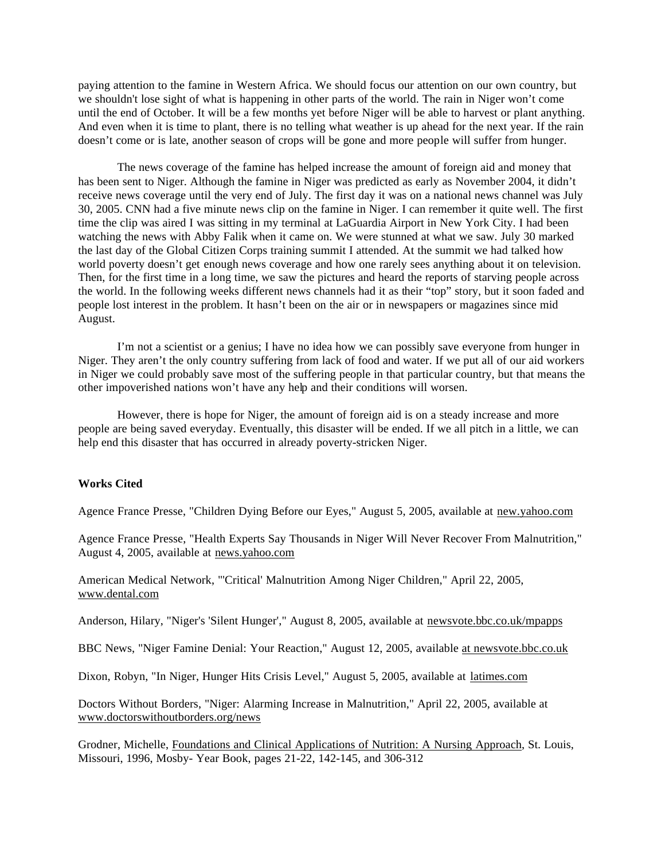paying attention to the famine in Western Africa. We should focus our attention on our own country, but we shouldn't lose sight of what is happening in other parts of the world. The rain in Niger won't come until the end of October. It will be a few months yet before Niger will be able to harvest or plant anything. And even when it is time to plant, there is no telling what weather is up ahead for the next year. If the rain doesn't come or is late, another season of crops will be gone and more people will suffer from hunger.

The news coverage of the famine has helped increase the amount of foreign aid and money that has been sent to Niger. Although the famine in Niger was predicted as early as November 2004, it didn't receive news coverage until the very end of July. The first day it was on a national news channel was July 30, 2005. CNN had a five minute news clip on the famine in Niger. I can remember it quite well. The first time the clip was aired I was sitting in my terminal at LaGuardia Airport in New York City. I had been watching the news with Abby Falik when it came on. We were stunned at what we saw. July 30 marked the last day of the Global Citizen Corps training summit I attended. At the summit we had talked how world poverty doesn't get enough news coverage and how one rarely sees anything about it on television. Then, for the first time in a long time, we saw the pictures and heard the reports of starving people across the world. In the following weeks different news channels had it as their "top" story, but it soon faded and people lost interest in the problem. It hasn't been on the air or in newspapers or magazines since mid August.

I'm not a scientist or a genius; I have no idea how we can possibly save everyone from hunger in Niger. They aren't the only country suffering from lack of food and water. If we put all of our aid workers in Niger we could probably save most of the suffering people in that particular country, but that means the other impoverished nations won't have any help and their conditions will worsen.

However, there is hope for Niger, the amount of foreign aid is on a steady increase and more people are being saved everyday. Eventually, this disaster will be ended. If we all pitch in a little, we can help end this disaster that has occurred in already poverty-stricken Niger.

### **Works Cited**

Agence France Presse, "Children Dying Before our Eyes," August 5, 2005, available at new.yahoo.com

Agence France Presse, "Health Experts Say Thousands in Niger Will Never Recover From Malnutrition," August 4, 2005, available at news.yahoo.com

American Medical Network, "'Critical' Malnutrition Among Niger Children," April 22, 2005, www.dental.com

Anderson, Hilary, "Niger's 'Silent Hunger'," August 8, 2005, available at newsvote.bbc.co.uk/mpapps

BBC News, "Niger Famine Denial: Your Reaction," August 12, 2005, available at newsvote.bbc.co.uk

Dixon, Robyn, "In Niger, Hunger Hits Crisis Level," August 5, 2005, available at latimes.com

Doctors Without Borders, "Niger: Alarming Increase in Malnutrition," April 22, 2005, available at www.doctorswithoutborders.org/news

Grodner, Michelle, Foundations and Clinical Applications of Nutrition: A Nursing Approach, St. Louis, Missouri, 1996, Mosby- Year Book, pages 21-22, 142-145, and 306-312